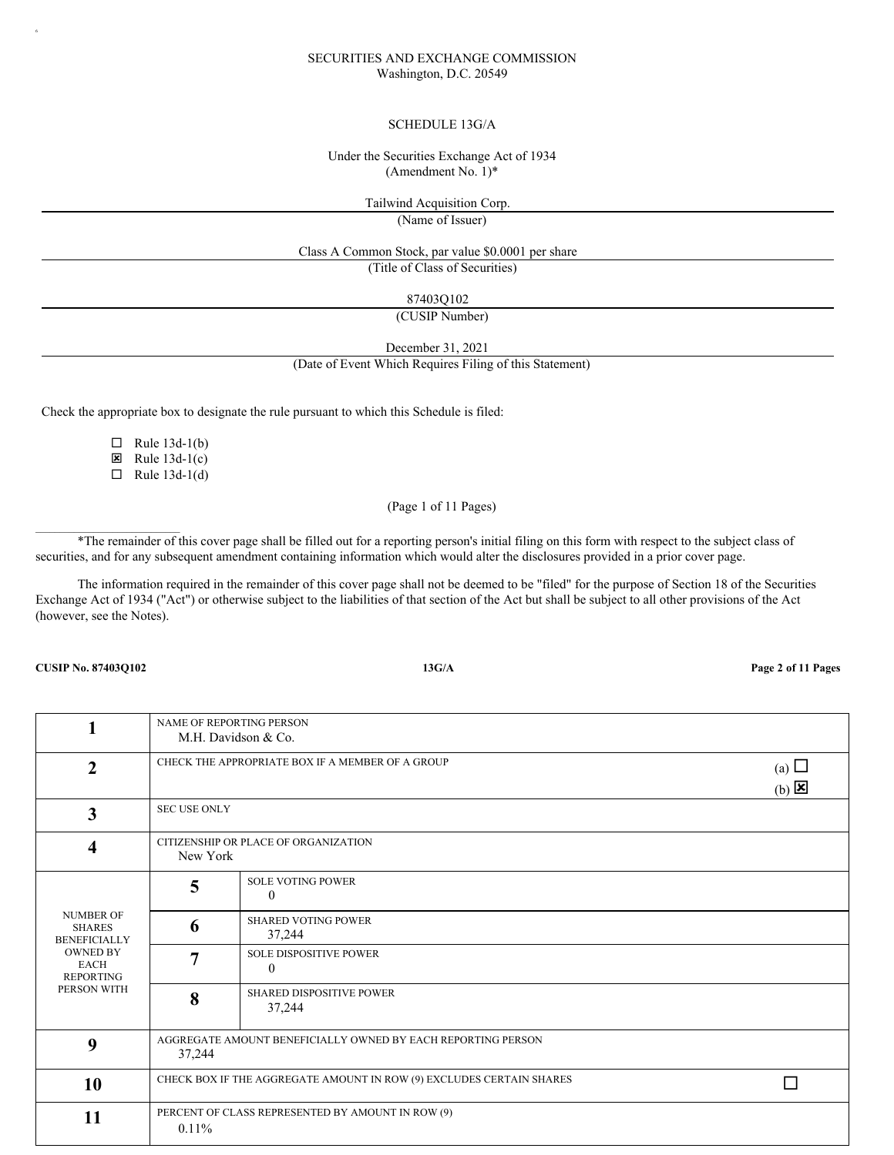## SECURITIES AND EXCHANGE COMMISSION Washington, D.C. 20549

### SCHEDULE 13G/A

### Under the Securities Exchange Act of 1934 (Amendment No. 1)\*

Tailwind Acquisition Corp.

(Name of Issuer)

Class A Common Stock, par value \$0.0001 per share

(Title of Class of Securities)

87403Q102

(CUSIP Number)

December 31, 2021

(Date of Event Which Requires Filing of this Statement)

Check the appropriate box to designate the rule pursuant to which this Schedule is filed:

 $\Box$  Rule 13d-1(b)

 $\boxtimes$  Rule 13d-1(c)

 $\Box$  Rule 13d-1(d)

## (Page 1 of 11 Pages)

\*The remainder of this cover page shall be filled out for a reporting person's initial filing on this form with respect to the subject class of securities, and for any subsequent amendment containing information which would alter the disclosures provided in a prior cover page.

The information required in the remainder of this cover page shall not be deemed to be "filed" for the purpose of Section 18 of the Securities Exchange Act of 1934 ("Act") or otherwise subject to the liabilities of that section of the Act but shall be subject to all other provisions of the Act (however, see the Notes).

**CUSIP No. 87403Q102 13G/A Page 2 of 11 Pages**

 $\mathcal{L}_\text{max}$ 

6

| 1                                                        | NAME OF REPORTING PERSON<br>M.H. Davidson & Co.                                                 |                                                                      |  |
|----------------------------------------------------------|-------------------------------------------------------------------------------------------------|----------------------------------------------------------------------|--|
| $\mathbf{2}$                                             | CHECK THE APPROPRIATE BOX IF A MEMBER OF A GROUP<br>(a) $\Box$<br>$(b)$ $\overline{\mathbf{x}}$ |                                                                      |  |
| $\overline{\mathbf{3}}$                                  | <b>SEC USE ONLY</b>                                                                             |                                                                      |  |
| 4                                                        | CITIZENSHIP OR PLACE OF ORGANIZATION<br>New York                                                |                                                                      |  |
|                                                          | 5                                                                                               | <b>SOLE VOTING POWER</b><br>$\theta$                                 |  |
| <b>NUMBER OF</b><br><b>SHARES</b><br><b>BENEFICIALLY</b> | 6                                                                                               | <b>SHARED VOTING POWER</b><br>37,244                                 |  |
| <b>OWNED BY</b><br><b>EACH</b><br><b>REPORTING</b>       |                                                                                                 | <b>SOLE DISPOSITIVE POWER</b><br>$\theta$                            |  |
| PERSON WITH                                              | 8                                                                                               | <b>SHARED DISPOSITIVE POWER</b><br>37,244                            |  |
| 9                                                        | 37,244                                                                                          | AGGREGATE AMOUNT BENEFICIALLY OWNED BY EACH REPORTING PERSON         |  |
| 10                                                       |                                                                                                 | CHECK BOX IF THE AGGREGATE AMOUNT IN ROW (9) EXCLUDES CERTAIN SHARES |  |
| 11                                                       | $0.11\%$                                                                                        | PERCENT OF CLASS REPRESENTED BY AMOUNT IN ROW (9)                    |  |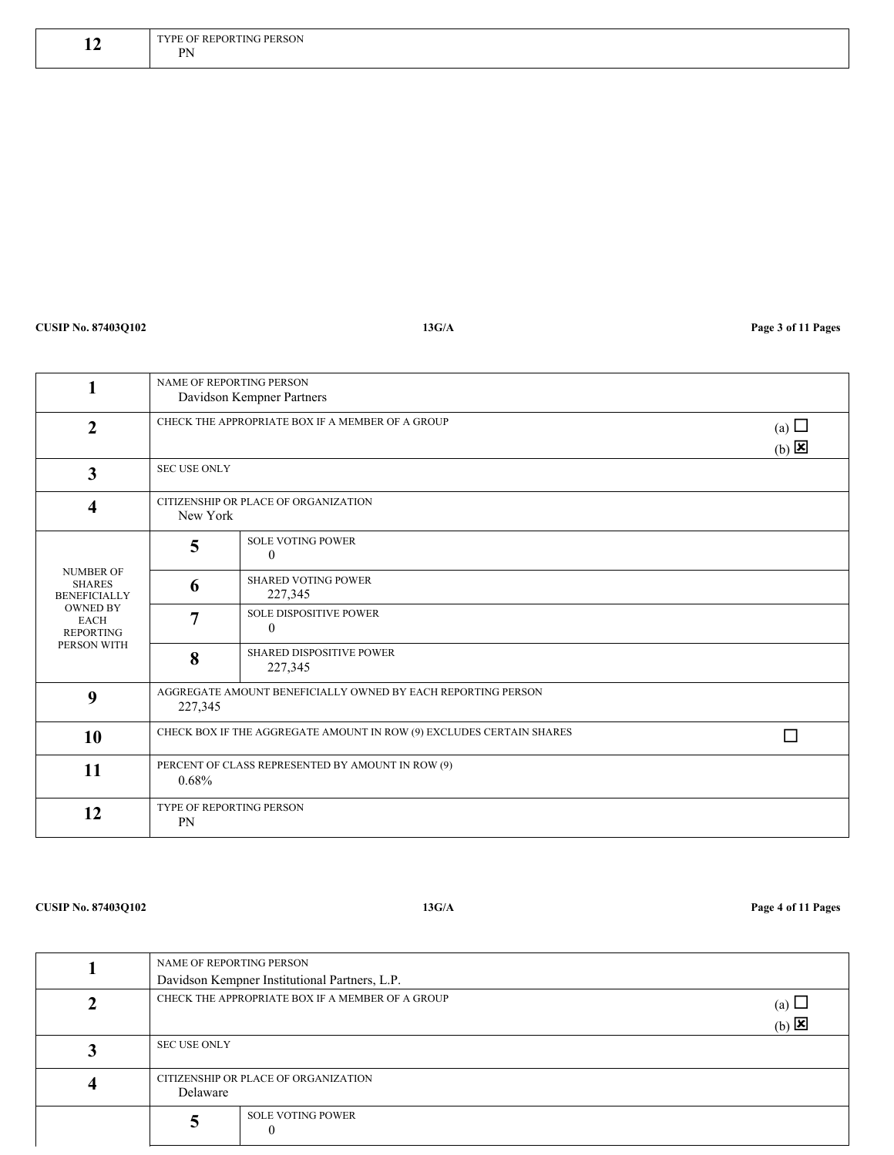| -- | :SON<br><b>DE</b><br>Н<br>$\sim$<br><b>DN</b> |
|----|-----------------------------------------------|
|    | .<br>the contract of the contract of          |

# **CUSIP No. 87403Q102 13G/A Page 3 of 11 Pages**

|                                                          | NAME OF REPORTING PERSON<br>Davidson Kempner Partners |                                                                      |  |
|----------------------------------------------------------|-------------------------------------------------------|----------------------------------------------------------------------|--|
| $\overline{2}$                                           |                                                       | CHECK THE APPROPRIATE BOX IF A MEMBER OF A GROUP                     |  |
| $\overline{\mathbf{3}}$                                  | <b>SEC USE ONLY</b>                                   |                                                                      |  |
| 4                                                        | CITIZENSHIP OR PLACE OF ORGANIZATION<br>New York      |                                                                      |  |
|                                                          | 5                                                     | <b>SOLE VOTING POWER</b><br>$\theta$                                 |  |
| <b>NUMBER OF</b><br><b>SHARES</b><br><b>BENEFICIALLY</b> | 6                                                     | <b>SHARED VOTING POWER</b><br>227,345                                |  |
| <b>OWNED BY</b><br><b>EACH</b><br><b>REPORTING</b>       | 7                                                     | <b>SOLE DISPOSITIVE POWER</b><br>$\theta$                            |  |
| PERSON WITH                                              | 8                                                     | SHARED DISPOSITIVE POWER<br>227,345                                  |  |
| 9                                                        | 227,345                                               | AGGREGATE AMOUNT BENEFICIALLY OWNED BY EACH REPORTING PERSON         |  |
| 10                                                       |                                                       | CHECK BOX IF THE AGGREGATE AMOUNT IN ROW (9) EXCLUDES CERTAIN SHARES |  |
| 11                                                       | $0.68\%$                                              | PERCENT OF CLASS REPRESENTED BY AMOUNT IN ROW (9)                    |  |
| 12                                                       | <b>TYPE OF REPORTING PERSON</b><br>PN                 |                                                                      |  |

**CUSIP No. 87403Q102 13G/A Page 4 of 11 Pages**

| NAME OF REPORTING PERSON<br>Davidson Kempner Institutional Partners, L.P. |                                                                                     |  |
|---------------------------------------------------------------------------|-------------------------------------------------------------------------------------|--|
|                                                                           | CHECK THE APPROPRIATE BOX IF A MEMBER OF A GROUP<br>(a) $\Box$<br>$(b)$ $\boxtimes$ |  |
| <b>SEC USE ONLY</b>                                                       |                                                                                     |  |
| Delaware                                                                  | CITIZENSHIP OR PLACE OF ORGANIZATION                                                |  |
|                                                                           | <b>SOLE VOTING POWER</b>                                                            |  |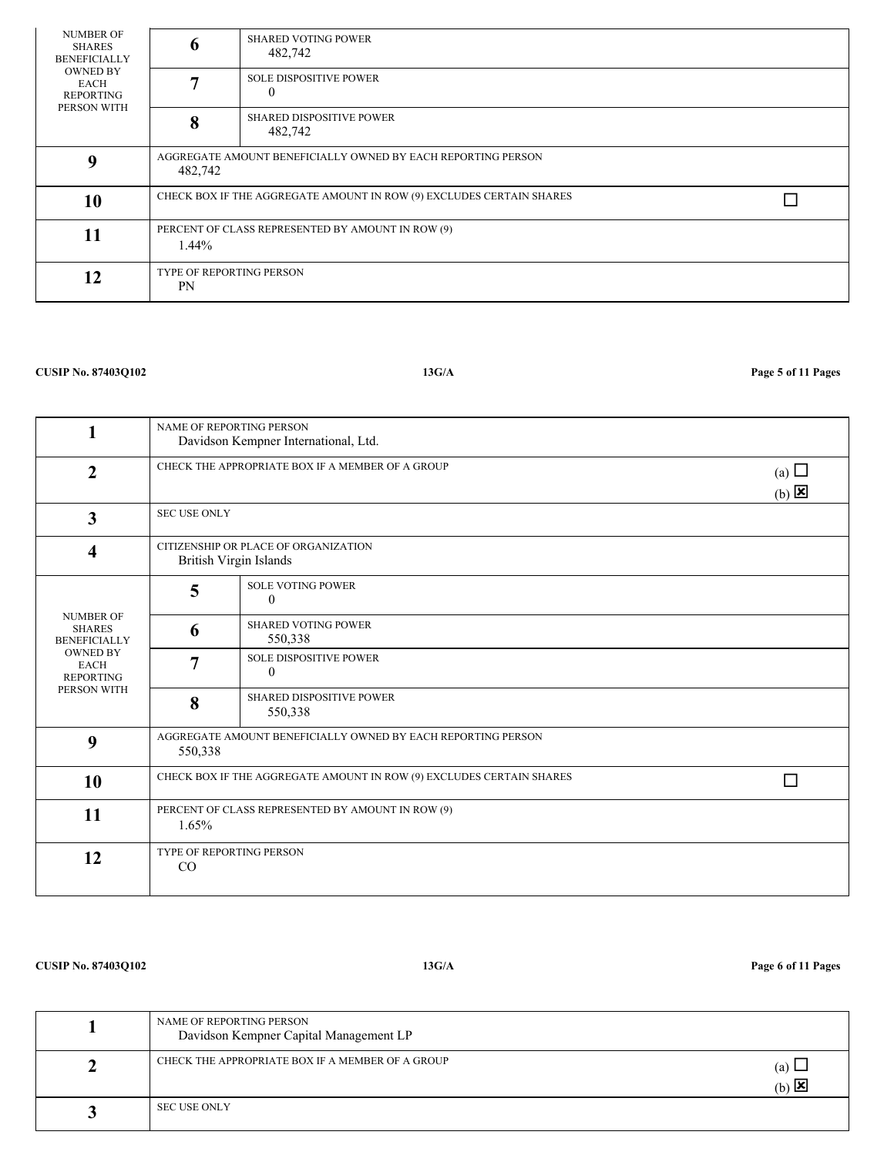| <b>NUMBER OF</b><br>SHARES<br><b>BENEFICIALLY</b>          | 6                                                                       | <b>SHARED VOTING POWER</b><br>482,742                                |  |
|------------------------------------------------------------|-------------------------------------------------------------------------|----------------------------------------------------------------------|--|
| <b>OWNED BY</b><br>EACH<br><b>REPORTING</b><br>PERSON WITH |                                                                         | <b>SOLE DISPOSITIVE POWER</b><br>$\theta$                            |  |
|                                                            | 8                                                                       | <b>SHARED DISPOSITIVE POWER</b><br>482,742                           |  |
| 0                                                          | AGGREGATE AMOUNT BENEFICIALLY OWNED BY EACH REPORTING PERSON<br>482,742 |                                                                      |  |
| 10                                                         |                                                                         | CHECK BOX IF THE AGGREGATE AMOUNT IN ROW (9) EXCLUDES CERTAIN SHARES |  |
| 11                                                         | $1.44\%$                                                                | PERCENT OF CLASS REPRESENTED BY AMOUNT IN ROW (9)                    |  |
| 12                                                         | <b>TYPE OF REPORTING PERSON</b><br><b>PN</b>                            |                                                                      |  |

# **CUSIP No. 87403Q102 13G/A Page 5 of 11 Pages**

|                                                          | <b>NAME OF REPORTING PERSON</b><br>Davidson Kempner International, Ltd. |                                                                      |                                          |
|----------------------------------------------------------|-------------------------------------------------------------------------|----------------------------------------------------------------------|------------------------------------------|
| $\overline{2}$                                           | CHECK THE APPROPRIATE BOX IF A MEMBER OF A GROUP                        |                                                                      | (a) $\Box$<br>$(b)$ $\boxed{\mathbf{x}}$ |
| $\overline{\mathbf{3}}$                                  | <b>SEC USE ONLY</b>                                                     |                                                                      |                                          |
| $\overline{\mathbf{4}}$                                  | British Virgin Islands                                                  | CITIZENSHIP OR PLACE OF ORGANIZATION                                 |                                          |
|                                                          | 5                                                                       | <b>SOLE VOTING POWER</b><br>$\theta$                                 |                                          |
| <b>NUMBER OF</b><br><b>SHARES</b><br><b>BENEFICIALLY</b> | 6                                                                       | <b>SHARED VOTING POWER</b><br>550,338                                |                                          |
| <b>OWNED BY</b><br><b>EACH</b><br><b>REPORTING</b>       | $\overline{7}$                                                          | <b>SOLE DISPOSITIVE POWER</b><br>$\mathbf{0}$                        |                                          |
| PERSON WITH                                              | 8                                                                       | <b>SHARED DISPOSITIVE POWER</b><br>550,338                           |                                          |
| 9                                                        | 550,338                                                                 | AGGREGATE AMOUNT BENEFICIALLY OWNED BY EACH REPORTING PERSON         |                                          |
| 10                                                       |                                                                         | CHECK BOX IF THE AGGREGATE AMOUNT IN ROW (9) EXCLUDES CERTAIN SHARES |                                          |
| 11                                                       | 1.65%                                                                   | PERCENT OF CLASS REPRESENTED BY AMOUNT IN ROW (9)                    |                                          |
| 12                                                       | TYPE OF REPORTING PERSON<br>CO                                          |                                                                      |                                          |

## **CUSIP No. 87403Q102 13G/A Page 6 of 11 Pages**

| NAME OF REPORTING PERSON<br>Davidson Kempner Capital Management LP                              |
|-------------------------------------------------------------------------------------------------|
| CHECK THE APPROPRIATE BOX IF A MEMBER OF A GROUP<br>(a) $\Box$<br>$(b)$ $\overline{\mathbf{x}}$ |
| <b>SEC USE ONLY</b>                                                                             |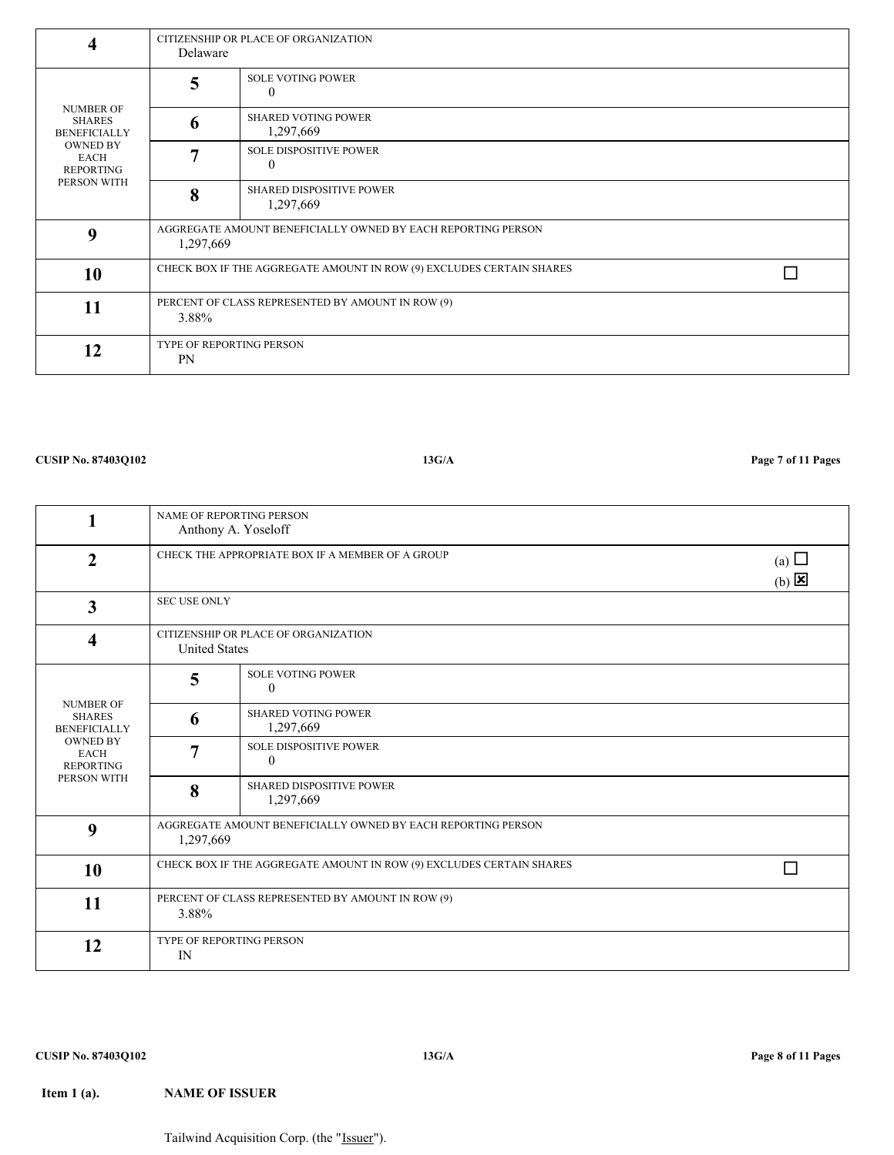**4**

NUMBER OF SHARES BENEFICIALLY OWNED BY EACH REPORTING PERSON WITH

**9**

**10**

**11**

**12**

CITIZENSHIP OR PLACE OF ORGANIZATION

0

0

SOLE VOTING POWER

SHARED VOTING POWER 1,297,669

SOLE DISPOSITIVE POWER

1,297,669

PERCENT OF CLASS REPRESENTED BY AMOUNT IN ROW (9)

SHARED DISPOSITIVE POWER

AGGREGATE AMOUNT BENEFICIALLY OWNED BY EACH REPORTING PERSON

Delaware

**5**

**6**

**7**

**8**

3.88%

PN

TYPE OF REPORTING PERSON

1,297,669

| $\mathbf{1}$                                             | NAME OF REPORTING PERSON<br>Anthony A. Yoseloff              |                                                                      |                                          |
|----------------------------------------------------------|--------------------------------------------------------------|----------------------------------------------------------------------|------------------------------------------|
| $\overline{2}$                                           |                                                              | CHECK THE APPROPRIATE BOX IF A MEMBER OF A GROUP                     | (a) $\Box$<br>$(b)$ $\boxed{\mathbf{X}}$ |
| $\overline{\mathbf{3}}$                                  | <b>SEC USE ONLY</b>                                          |                                                                      |                                          |
| 4                                                        | CITIZENSHIP OR PLACE OF ORGANIZATION<br><b>United States</b> |                                                                      |                                          |
|                                                          | 5                                                            | <b>SOLE VOTING POWER</b><br>$\theta$                                 |                                          |
| <b>NUMBER OF</b><br><b>SHARES</b><br><b>BENEFICIALLY</b> | 6                                                            | <b>SHARED VOTING POWER</b><br>1,297,669                              |                                          |
| <b>OWNED BY</b><br><b>EACH</b><br><b>REPORTING</b>       | $\overline{7}$                                               | <b>SOLE DISPOSITIVE POWER</b><br>$\mathbf{0}$                        |                                          |
| PERSON WITH                                              | 8                                                            | <b>SHARED DISPOSITIVE POWER</b><br>1,297,669                         |                                          |
| 9                                                        | 1,297,669                                                    | AGGREGATE AMOUNT BENEFICIALLY OWNED BY EACH REPORTING PERSON         |                                          |
| 10                                                       |                                                              | CHECK BOX IF THE AGGREGATE AMOUNT IN ROW (9) EXCLUDES CERTAIN SHARES |                                          |
| 11                                                       | 3.88%                                                        | PERCENT OF CLASS REPRESENTED BY AMOUNT IN ROW (9)                    |                                          |
| 12                                                       | IN                                                           | TYPE OF REPORTING PERSON                                             |                                          |
|                                                          |                                                              |                                                                      |                                          |

**CUSIP No. 87403Q102 13G/A Page 7 of 11 Pages**

CHECK BOX IF THE AGGREGATE AMOUNT IN ROW (9) EXCLUDES CERTAIN SHARES  $\hfill\Box$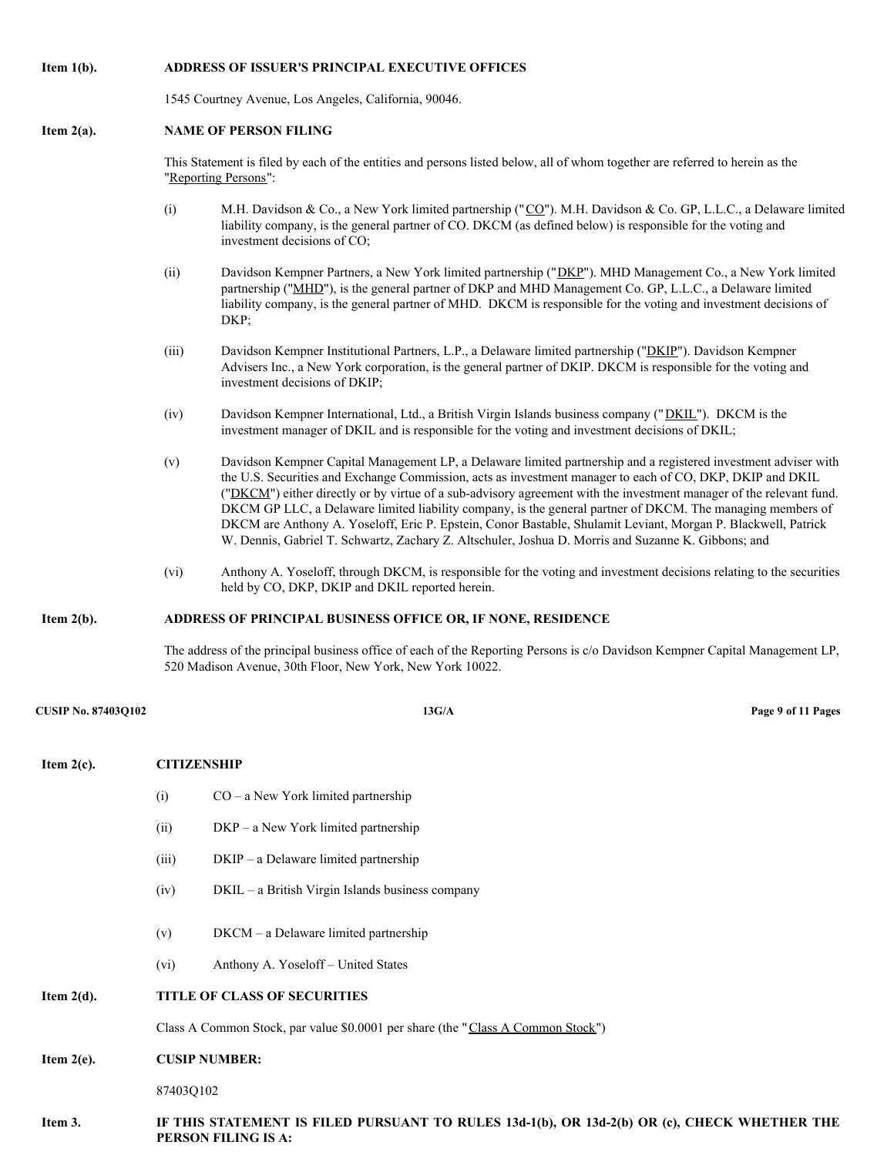## **Item 1(b). ADDRESS OF ISSUER'S PRINCIPAL EXECUTIVE OFFICES**

1545 Courtney Avenue, Los Angeles, California, 90046.

### **Item 2(a). NAME OF PERSON FILING**

This Statement is filed by each of the entities and persons listed below, all of whom together are referred to herein as the "Reporting Persons":

- (i) M.H. Davidson & Co., a New York limited partnership (" $\underline{CQ}$ "). M.H. Davidson & Co. GP, L.L.C., a Delaware limited liability company, is the general partner of CO. DKCM (as defined below) is responsible for the voting and investment decisions of CO;
- (ii) Davidson Kempner Partners, a New York limited partnership ("DKP"). MHD Management Co., a New York limited partnership ("MHD"), is the general partner of DKP and MHD Management Co. GP, L.L.C., a Delaware limited liability company, is the general partner of MHD. DKCM is responsible for the voting and investment decisions of DKP;
- (iii) Davidson Kempner Institutional Partners, L.P., a Delaware limited partnership ("DKIP"). Davidson Kempner Advisers Inc., a New York corporation, is the general partner of DKIP. DKCM is responsible for the voting and investment decisions of DKIP;
- (iv) Davidson Kempner International, Ltd., a British Virgin Islands business company ("DKIL"). DKCM is the investment manager of DKIL and is responsible for the voting and investment decisions of DKIL;
- (v) Davidson Kempner Capital Management LP, a Delaware limited partnership and a registered investment adviser with the U.S. Securities and Exchange Commission, acts as investment manager to each of CO, DKP, DKIP and DKIL ("DKCM") either directly or by virtue of a sub-advisory agreement with the investment manager of the relevant fund. DKCM GP LLC, a Delaware limited liability company, is the general partner of DKCM. The managing members of DKCM are Anthony A. Yoseloff, Eric P. Epstein, Conor Bastable, Shulamit Leviant, Morgan P. Blackwell, Patrick W. Dennis, Gabriel T. Schwartz, Zachary Z. Altschuler, Joshua D. Morris and Suzanne K. Gibbons; and
- (vi) Anthony A. Yoseloff, through DKCM, is responsible for the voting and investment decisions relating to the securities held by CO, DKP, DKIP and DKIL reported herein.

### **Item 2(b). ADDRESS OF PRINCIPAL BUSINESS OFFICE OR, IF NONE, RESIDENCE**

The address of the principal business office of each of the Reporting Persons is c/o Davidson Kempner Capital Management LP, 520 Madison Avenue, 30th Floor, New York, New York 10022.

| <b>CUSIP No. 87403Q102</b> |                    | 13G/A                                                                                                               | Page 9 of 11 Pages |
|----------------------------|--------------------|---------------------------------------------------------------------------------------------------------------------|--------------------|
| Item $2(c)$ .              | <b>CITIZENSHIP</b> |                                                                                                                     |                    |
|                            | (i)                | $CO - a$ New York limited partnership                                                                               |                    |
|                            | (ii)               | $DKP - a New York limited partnership$                                                                              |                    |
|                            | (iii)              | DKIP - a Delaware limited partnership                                                                               |                    |
|                            | (iv)               | DKIL - a British Virgin Islands business company                                                                    |                    |
|                            | (v)<br>(vi)        | DKCM - a Delaware limited partnership<br>Anthony A. Yoseloff - United States                                        |                    |
| Item $2(d)$ .              |                    | TITLE OF CLASS OF SECURITIES                                                                                        |                    |
|                            |                    | Class A Common Stock, par value \$0.0001 per share (the "Class A Common Stock")                                     |                    |
| Item $2(e)$ .              |                    | <b>CUSIP NUMBER:</b>                                                                                                |                    |
|                            | 87403Q102          |                                                                                                                     |                    |
| Item 3.                    |                    | IF THIS STATEMENT IS FILED PURSUANT TO RULES 13d-1(b), OR 13d-2(b) OR (c), CHECK WHETHER THE<br>PERSON FILING IS A. |                    |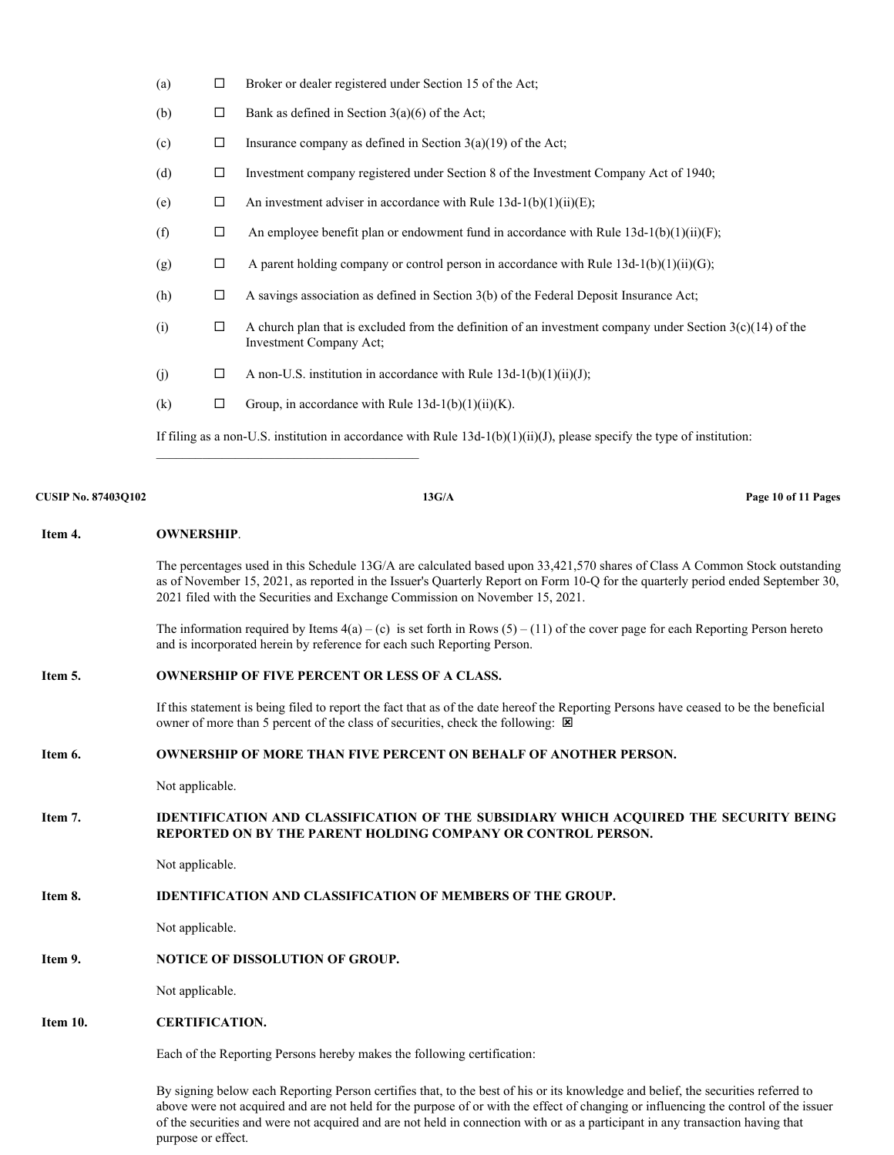| (a) | □ | Broker or dealer registered under Section 15 of the Act;                                                                               |
|-----|---|----------------------------------------------------------------------------------------------------------------------------------------|
| (b) | □ | Bank as defined in Section $3(a)(6)$ of the Act;                                                                                       |
| (c) | □ | Insurance company as defined in Section $3(a)(19)$ of the Act;                                                                         |
| (d) | □ | Investment company registered under Section 8 of the Investment Company Act of 1940;                                                   |
| (e) | □ | An investment adviser in accordance with Rule $13d-1(b)(1)(ii)(E)$ ;                                                                   |
| (f) | □ | An employee benefit plan or endowment fund in accordance with Rule $13d-1(b)(1)(ii)(F)$ ;                                              |
| (g) | □ | A parent holding company or control person in accordance with Rule $13d-1(b)(1)(ii)(G)$ ;                                              |
| (h) | □ | A savings association as defined in Section 3(b) of the Federal Deposit Insurance Act;                                                 |
| (i) | □ | A church plan that is excluded from the definition of an investment company under Section $3(c)(14)$ of the<br>Investment Company Act; |
| (j) | □ | A non-U.S. institution in accordance with Rule $13d-1(b)(1)(ii)(J)$ ;                                                                  |
| (k) | □ | Group, in accordance with Rule $13d-1(b)(1)(ii)(K)$ .                                                                                  |
|     |   | If filing as a non-U.S. institution in accordance with Rule $13d-1(b)(1)(ii)(J)$ , please specify the type of institution:             |

# **CUSIP No. 87403Q102 13G/A Page 10 of 11 Pages**

 $\_$ 

| Item 4.  | <b>OWNERSHIP.</b>                                                                                                                                                                                                                                                                                                                              |
|----------|------------------------------------------------------------------------------------------------------------------------------------------------------------------------------------------------------------------------------------------------------------------------------------------------------------------------------------------------|
|          | The percentages used in this Schedule 13G/A are calculated based upon 33,421,570 shares of Class A Common Stock outstanding<br>as of November 15, 2021, as reported in the Issuer's Quarterly Report on Form 10-Q for the quarterly period ended September 30,<br>2021 filed with the Securities and Exchange Commission on November 15, 2021. |
|          | The information required by Items $4(a) - (c)$ is set forth in Rows $(5) - (11)$ of the cover page for each Reporting Person hereto<br>and is incorporated herein by reference for each such Reporting Person.                                                                                                                                 |
| Item 5.  | <b>OWNERSHIP OF FIVE PERCENT OR LESS OF A CLASS.</b>                                                                                                                                                                                                                                                                                           |
|          | If this statement is being filed to report the fact that as of the date hereof the Reporting Persons have ceased to be the beneficial<br>owner of more than 5 percent of the class of securities, check the following: $\boxtimes$                                                                                                             |
| Item 6.  | <b>OWNERSHIP OF MORE THAN FIVE PERCENT ON BEHALF OF ANOTHER PERSON.</b>                                                                                                                                                                                                                                                                        |
|          | Not applicable.                                                                                                                                                                                                                                                                                                                                |
| Item 7.  | <b>IDENTIFICATION AND CLASSIFICATION OF THE SUBSIDIARY WHICH ACOUIRED THE SECURITY BEING</b><br>REPORTED ON BY THE PARENT HOLDING COMPANY OR CONTROL PERSON.                                                                                                                                                                                   |
|          | Not applicable.                                                                                                                                                                                                                                                                                                                                |
| Item 8.  | <b>IDENTIFICATION AND CLASSIFICATION OF MEMBERS OF THE GROUP.</b>                                                                                                                                                                                                                                                                              |
|          | Not applicable.                                                                                                                                                                                                                                                                                                                                |
| Item 9.  | <b>NOTICE OF DISSOLUTION OF GROUP.</b>                                                                                                                                                                                                                                                                                                         |
|          | Not applicable.                                                                                                                                                                                                                                                                                                                                |
| Item 10. | <b>CERTIFICATION.</b>                                                                                                                                                                                                                                                                                                                          |
|          | Each of the Reporting Persons hereby makes the following certification:                                                                                                                                                                                                                                                                        |

By signing below each Reporting Person certifies that, to the best of his or its knowledge and belief, the securities referred to above were not acquired and are not held for the purpose of or with the effect of changing or influencing the control of the issuer of the securities and were not acquired and are not held in connection with or as a participant in any transaction having that purpose or effect.